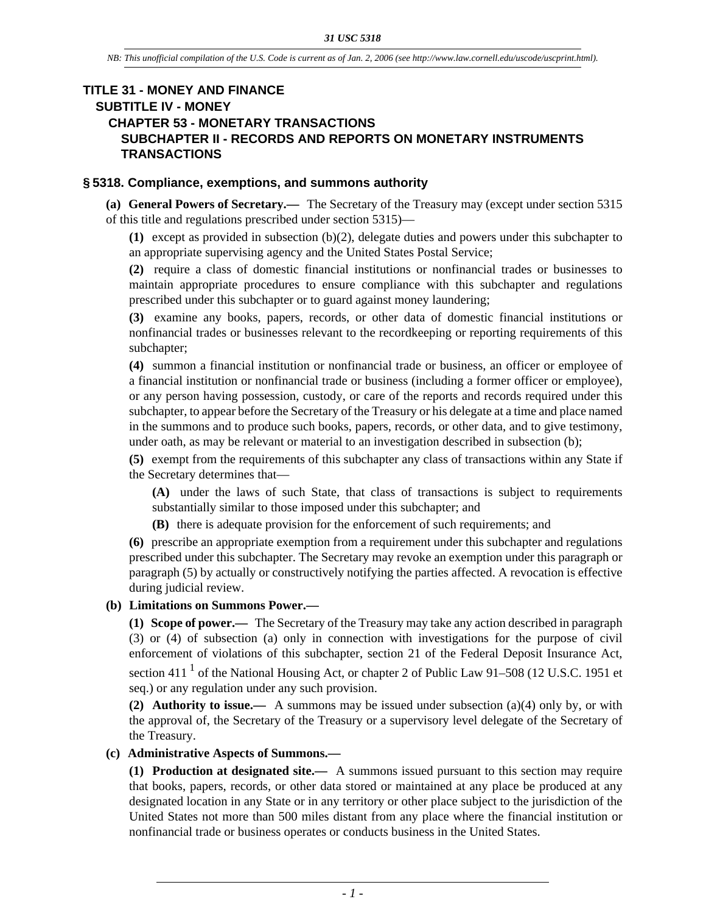## **TITLE 31 - MONEY AND FINANCE SUBTITLE IV - MONEY CHAPTER 53 - MONETARY TRANSACTIONS SUBCHAPTER II - RECORDS AND REPORTS ON MONETARY INSTRUMENTS TRANSACTIONS**

#### **§ 5318. Compliance, exemptions, and summons authority**

**(a) General Powers of Secretary.—** The Secretary of the Treasury may (except under section 5315 of this title and regulations prescribed under section 5315)—

**(1)** except as provided in subsection (b)(2), delegate duties and powers under this subchapter to an appropriate supervising agency and the United States Postal Service;

**(2)** require a class of domestic financial institutions or nonfinancial trades or businesses to maintain appropriate procedures to ensure compliance with this subchapter and regulations prescribed under this subchapter or to guard against money laundering;

**(3)** examine any books, papers, records, or other data of domestic financial institutions or nonfinancial trades or businesses relevant to the recordkeeping or reporting requirements of this subchapter;

**(4)** summon a financial institution or nonfinancial trade or business, an officer or employee of a financial institution or nonfinancial trade or business (including a former officer or employee), or any person having possession, custody, or care of the reports and records required under this subchapter, to appear before the Secretary of the Treasury or his delegate at a time and place named in the summons and to produce such books, papers, records, or other data, and to give testimony, under oath, as may be relevant or material to an investigation described in subsection (b);

**(5)** exempt from the requirements of this subchapter any class of transactions within any State if the Secretary determines that—

**(A)** under the laws of such State, that class of transactions is subject to requirements substantially similar to those imposed under this subchapter; and

**(B)** there is adequate provision for the enforcement of such requirements; and

**(6)** prescribe an appropriate exemption from a requirement under this subchapter and regulations prescribed under this subchapter. The Secretary may revoke an exemption under this paragraph or paragraph (5) by actually or constructively notifying the parties affected. A revocation is effective during judicial review.

## **(b) Limitations on Summons Power.—**

**(1) Scope of power.—** The Secretary of the Treasury may take any action described in paragraph (3) or (4) of subsection (a) only in connection with investigations for the purpose of civil enforcement of violations of this subchapter, section 21 of the Federal Deposit Insurance Act,

section 411<sup>1</sup> of the National Housing Act, or chapter 2 of Public Law 91–508 (12 U.S.C. 1951 et seq.) or any regulation under any such provision.

**(2) Authority to issue.—** A summons may be issued under subsection (a)(4) only by, or with the approval of, the Secretary of the Treasury or a supervisory level delegate of the Secretary of the Treasury.

#### **(c) Administrative Aspects of Summons.—**

**(1) Production at designated site.—** A summons issued pursuant to this section may require that books, papers, records, or other data stored or maintained at any place be produced at any designated location in any State or in any territory or other place subject to the jurisdiction of the United States not more than 500 miles distant from any place where the financial institution or nonfinancial trade or business operates or conducts business in the United States.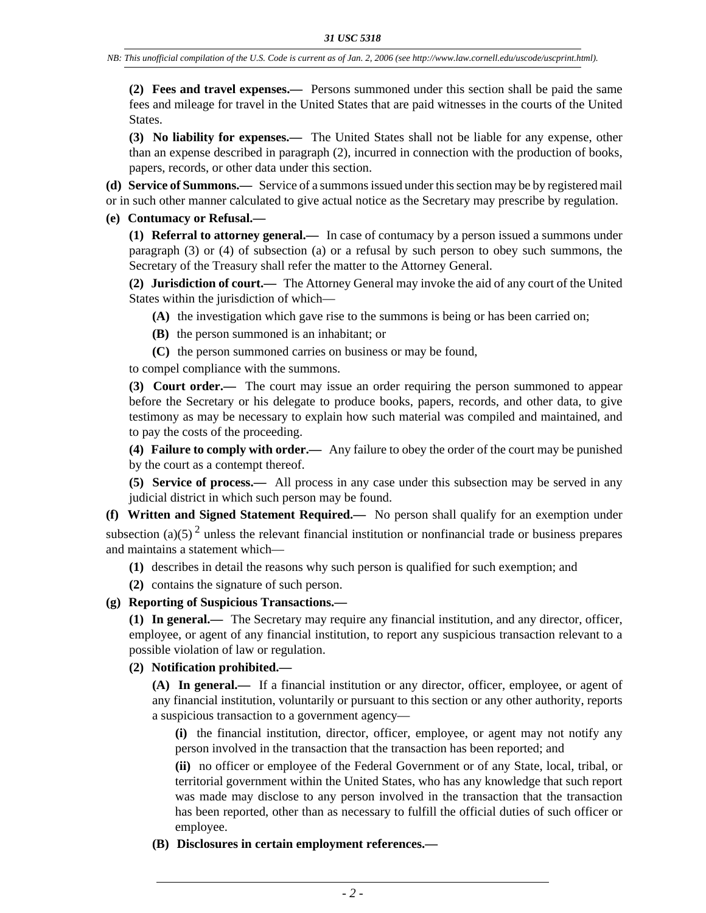**(2) Fees and travel expenses.—** Persons summoned under this section shall be paid the same fees and mileage for travel in the United States that are paid witnesses in the courts of the United States.

**(3) No liability for expenses.—** The United States shall not be liable for any expense, other than an expense described in paragraph (2), incurred in connection with the production of books, papers, records, or other data under this section.

**(d) Service of Summons.—** Service of a summons issued under this section may be by registered mail or in such other manner calculated to give actual notice as the Secretary may prescribe by regulation.

## **(e) Contumacy or Refusal.—**

**(1) Referral to attorney general.—** In case of contumacy by a person issued a summons under paragraph (3) or (4) of subsection (a) or a refusal by such person to obey such summons, the Secretary of the Treasury shall refer the matter to the Attorney General.

**(2) Jurisdiction of court.—** The Attorney General may invoke the aid of any court of the United States within the jurisdiction of which—

- **(A)** the investigation which gave rise to the summons is being or has been carried on;
- **(B)** the person summoned is an inhabitant; or
- **(C)** the person summoned carries on business or may be found,

to compel compliance with the summons.

**(3) Court order.—** The court may issue an order requiring the person summoned to appear before the Secretary or his delegate to produce books, papers, records, and other data, to give testimony as may be necessary to explain how such material was compiled and maintained, and to pay the costs of the proceeding.

**(4) Failure to comply with order.—** Any failure to obey the order of the court may be punished by the court as a contempt thereof.

**(5) Service of process.—** All process in any case under this subsection may be served in any judicial district in which such person may be found.

**(f) Written and Signed Statement Required.—** No person shall qualify for an exemption under

subsection (a)(5)<sup>2</sup> unless the relevant financial institution or nonfinancial trade or business prepares and maintains a statement which—

**(1)** describes in detail the reasons why such person is qualified for such exemption; and

**(2)** contains the signature of such person.

# **(g) Reporting of Suspicious Transactions.—**

**(1) In general.—** The Secretary may require any financial institution, and any director, officer, employee, or agent of any financial institution, to report any suspicious transaction relevant to a possible violation of law or regulation.

**(2) Notification prohibited.—**

**(A) In general.—** If a financial institution or any director, officer, employee, or agent of any financial institution, voluntarily or pursuant to this section or any other authority, reports a suspicious transaction to a government agency—

**(i)** the financial institution, director, officer, employee, or agent may not notify any person involved in the transaction that the transaction has been reported; and

**(ii)** no officer or employee of the Federal Government or of any State, local, tribal, or territorial government within the United States, who has any knowledge that such report was made may disclose to any person involved in the transaction that the transaction has been reported, other than as necessary to fulfill the official duties of such officer or employee.

**(B) Disclosures in certain employment references.—**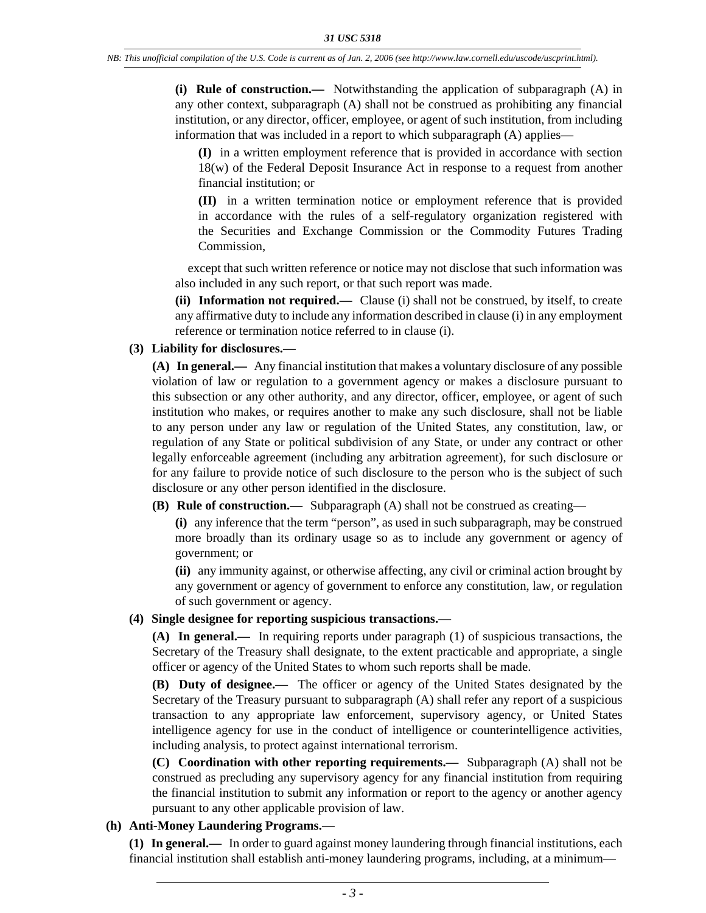**(i) Rule of construction.—** Notwithstanding the application of subparagraph (A) in any other context, subparagraph (A) shall not be construed as prohibiting any financial institution, or any director, officer, employee, or agent of such institution, from including information that was included in a report to which subparagraph (A) applies—

**(I)** in a written employment reference that is provided in accordance with section 18(w) of the Federal Deposit Insurance Act in response to a request from another financial institution; or

**(II)** in a written termination notice or employment reference that is provided in accordance with the rules of a self-regulatory organization registered with the Securities and Exchange Commission or the Commodity Futures Trading Commission,

 except that such written reference or notice may not disclose that such information was also included in any such report, or that such report was made.

**(ii) Information not required.—** Clause (i) shall not be construed, by itself, to create any affirmative duty to include any information described in clause (i) in any employment reference or termination notice referred to in clause (i).

## **(3) Liability for disclosures.—**

**(A) In general.—** Any financial institution that makes a voluntary disclosure of any possible violation of law or regulation to a government agency or makes a disclosure pursuant to this subsection or any other authority, and any director, officer, employee, or agent of such institution who makes, or requires another to make any such disclosure, shall not be liable to any person under any law or regulation of the United States, any constitution, law, or regulation of any State or political subdivision of any State, or under any contract or other legally enforceable agreement (including any arbitration agreement), for such disclosure or for any failure to provide notice of such disclosure to the person who is the subject of such disclosure or any other person identified in the disclosure.

**(B) Rule of construction.—** Subparagraph (A) shall not be construed as creating—

**(i)** any inference that the term "person", as used in such subparagraph, may be construed more broadly than its ordinary usage so as to include any government or agency of government; or

**(ii)** any immunity against, or otherwise affecting, any civil or criminal action brought by any government or agency of government to enforce any constitution, law, or regulation of such government or agency.

#### **(4) Single designee for reporting suspicious transactions.—**

**(A) In general.—** In requiring reports under paragraph (1) of suspicious transactions, the Secretary of the Treasury shall designate, to the extent practicable and appropriate, a single officer or agency of the United States to whom such reports shall be made.

**(B) Duty of designee.—** The officer or agency of the United States designated by the Secretary of the Treasury pursuant to subparagraph (A) shall refer any report of a suspicious transaction to any appropriate law enforcement, supervisory agency, or United States intelligence agency for use in the conduct of intelligence or counterintelligence activities, including analysis, to protect against international terrorism.

**(C) Coordination with other reporting requirements.—** Subparagraph (A) shall not be construed as precluding any supervisory agency for any financial institution from requiring the financial institution to submit any information or report to the agency or another agency pursuant to any other applicable provision of law.

## **(h) Anti-Money Laundering Programs.—**

**(1) In general.—** In order to guard against money laundering through financial institutions, each financial institution shall establish anti-money laundering programs, including, at a minimum—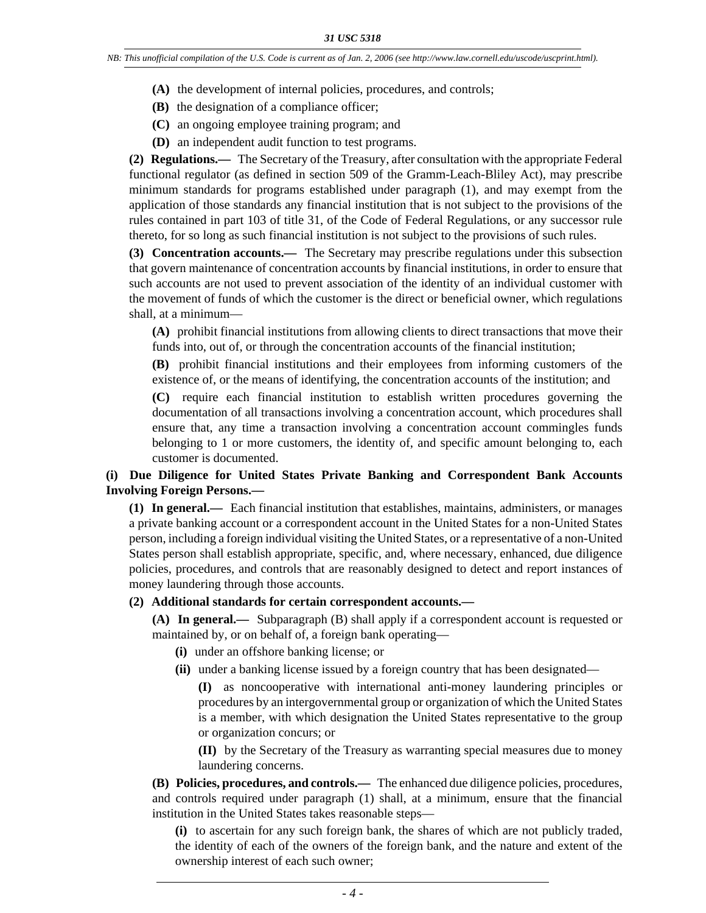- **(A)** the development of internal policies, procedures, and controls;
- **(B)** the designation of a compliance officer;
- **(C)** an ongoing employee training program; and
- **(D)** an independent audit function to test programs.

**(2) Regulations.—** The Secretary of the Treasury, after consultation with the appropriate Federal functional regulator (as defined in section 509 of the Gramm-Leach-Bliley Act), may prescribe minimum standards for programs established under paragraph (1), and may exempt from the application of those standards any financial institution that is not subject to the provisions of the rules contained in part 103 of title 31, of the Code of Federal Regulations, or any successor rule thereto, for so long as such financial institution is not subject to the provisions of such rules.

**(3) Concentration accounts.—** The Secretary may prescribe regulations under this subsection that govern maintenance of concentration accounts by financial institutions, in order to ensure that such accounts are not used to prevent association of the identity of an individual customer with the movement of funds of which the customer is the direct or beneficial owner, which regulations shall, at a minimum—

**(A)** prohibit financial institutions from allowing clients to direct transactions that move their funds into, out of, or through the concentration accounts of the financial institution;

**(B)** prohibit financial institutions and their employees from informing customers of the existence of, or the means of identifying, the concentration accounts of the institution; and

**(C)** require each financial institution to establish written procedures governing the documentation of all transactions involving a concentration account, which procedures shall ensure that, any time a transaction involving a concentration account commingles funds belonging to 1 or more customers, the identity of, and specific amount belonging to, each customer is documented.

## **(i) Due Diligence for United States Private Banking and Correspondent Bank Accounts Involving Foreign Persons.—**

**(1) In general.—** Each financial institution that establishes, maintains, administers, or manages a private banking account or a correspondent account in the United States for a non-United States person, including a foreign individual visiting the United States, or a representative of a non-United States person shall establish appropriate, specific, and, where necessary, enhanced, due diligence policies, procedures, and controls that are reasonably designed to detect and report instances of money laundering through those accounts.

#### **(2) Additional standards for certain correspondent accounts.—**

**(A) In general.—** Subparagraph (B) shall apply if a correspondent account is requested or maintained by, or on behalf of, a foreign bank operating—

- **(i)** under an offshore banking license; or
- **(ii)** under a banking license issued by a foreign country that has been designated—

**(I)** as noncooperative with international anti-money laundering principles or procedures by an intergovernmental group or organization of which the United States is a member, with which designation the United States representative to the group or organization concurs; or

**(II)** by the Secretary of the Treasury as warranting special measures due to money laundering concerns.

**(B) Policies, procedures, and controls.—** The enhanced due diligence policies, procedures, and controls required under paragraph (1) shall, at a minimum, ensure that the financial institution in the United States takes reasonable steps—

**(i)** to ascertain for any such foreign bank, the shares of which are not publicly traded, the identity of each of the owners of the foreign bank, and the nature and extent of the ownership interest of each such owner;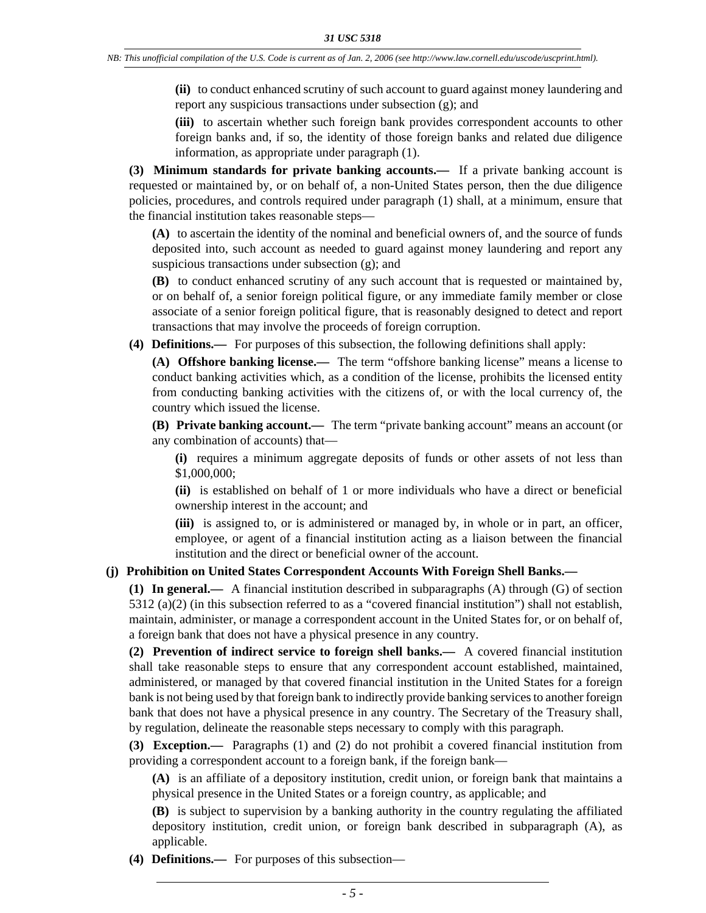**(ii)** to conduct enhanced scrutiny of such account to guard against money laundering and report any suspicious transactions under subsection (g); and

**(iii)** to ascertain whether such foreign bank provides correspondent accounts to other foreign banks and, if so, the identity of those foreign banks and related due diligence information, as appropriate under paragraph (1).

**(3) Minimum standards for private banking accounts.—** If a private banking account is requested or maintained by, or on behalf of, a non-United States person, then the due diligence policies, procedures, and controls required under paragraph (1) shall, at a minimum, ensure that the financial institution takes reasonable steps—

**(A)** to ascertain the identity of the nominal and beneficial owners of, and the source of funds deposited into, such account as needed to guard against money laundering and report any suspicious transactions under subsection (g); and

**(B)** to conduct enhanced scrutiny of any such account that is requested or maintained by, or on behalf of, a senior foreign political figure, or any immediate family member or close associate of a senior foreign political figure, that is reasonably designed to detect and report transactions that may involve the proceeds of foreign corruption.

**(4) Definitions.—** For purposes of this subsection, the following definitions shall apply:

**(A) Offshore banking license.—** The term "offshore banking license" means a license to conduct banking activities which, as a condition of the license, prohibits the licensed entity from conducting banking activities with the citizens of, or with the local currency of, the country which issued the license.

**(B) Private banking account.—** The term "private banking account" means an account (or any combination of accounts) that—

**(i)** requires a minimum aggregate deposits of funds or other assets of not less than \$1,000,000;

**(ii)** is established on behalf of 1 or more individuals who have a direct or beneficial ownership interest in the account; and

**(iii)** is assigned to, or is administered or managed by, in whole or in part, an officer, employee, or agent of a financial institution acting as a liaison between the financial institution and the direct or beneficial owner of the account.

## **(j) Prohibition on United States Correspondent Accounts With Foreign Shell Banks.—**

**(1) In general.—** A financial institution described in subparagraphs (A) through (G) of section  $5312$  (a)(2) (in this subsection referred to as a "covered financial institution") shall not establish, maintain, administer, or manage a correspondent account in the United States for, or on behalf of, a foreign bank that does not have a physical presence in any country.

**(2) Prevention of indirect service to foreign shell banks.—** A covered financial institution shall take reasonable steps to ensure that any correspondent account established, maintained, administered, or managed by that covered financial institution in the United States for a foreign bank is not being used by that foreign bank to indirectly provide banking services to another foreign bank that does not have a physical presence in any country. The Secretary of the Treasury shall, by regulation, delineate the reasonable steps necessary to comply with this paragraph.

**(3) Exception.—** Paragraphs (1) and (2) do not prohibit a covered financial institution from providing a correspondent account to a foreign bank, if the foreign bank—

**(A)** is an affiliate of a depository institution, credit union, or foreign bank that maintains a physical presence in the United States or a foreign country, as applicable; and

**(B)** is subject to supervision by a banking authority in the country regulating the affiliated depository institution, credit union, or foreign bank described in subparagraph (A), as applicable.

**(4) Definitions.—** For purposes of this subsection—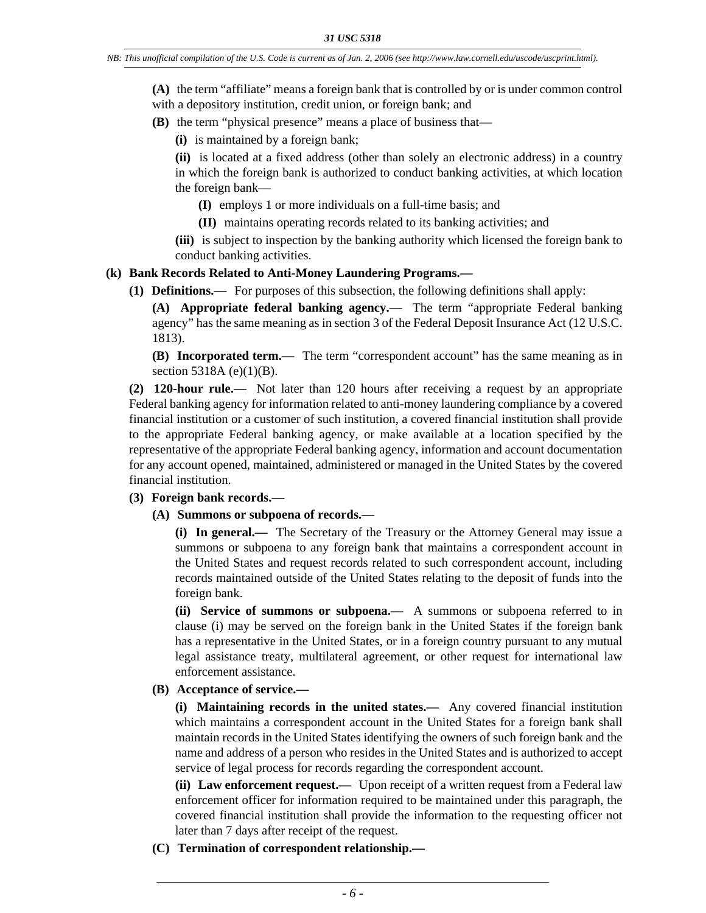**(A)** the term "affiliate" means a foreign bank that is controlled by or is under common control with a depository institution, credit union, or foreign bank; and

- **(B)** the term "physical presence" means a place of business that—
	- **(i)** is maintained by a foreign bank;

**(ii)** is located at a fixed address (other than solely an electronic address) in a country in which the foreign bank is authorized to conduct banking activities, at which location the foreign bank—

- **(I)** employs 1 or more individuals on a full-time basis; and
- **(II)** maintains operating records related to its banking activities; and

**(iii)** is subject to inspection by the banking authority which licensed the foreign bank to conduct banking activities.

## **(k) Bank Records Related to Anti-Money Laundering Programs.—**

**(1) Definitions.—** For purposes of this subsection, the following definitions shall apply:

**(A) Appropriate federal banking agency.—** The term "appropriate Federal banking agency" has the same meaning as in section 3 of the Federal Deposit Insurance Act (12 U.S.C. 1813).

**(B) Incorporated term.—** The term "correspondent account" has the same meaning as in section 5318A (e)(1)(B).

**(2) 120-hour rule.—** Not later than 120 hours after receiving a request by an appropriate Federal banking agency for information related to anti-money laundering compliance by a covered financial institution or a customer of such institution, a covered financial institution shall provide to the appropriate Federal banking agency, or make available at a location specified by the representative of the appropriate Federal banking agency, information and account documentation for any account opened, maintained, administered or managed in the United States by the covered financial institution.

- **(3) Foreign bank records.—**
	- **(A) Summons or subpoena of records.—**

**(i) In general.—** The Secretary of the Treasury or the Attorney General may issue a summons or subpoena to any foreign bank that maintains a correspondent account in the United States and request records related to such correspondent account, including records maintained outside of the United States relating to the deposit of funds into the foreign bank.

**(ii) Service of summons or subpoena.—** A summons or subpoena referred to in clause (i) may be served on the foreign bank in the United States if the foreign bank has a representative in the United States, or in a foreign country pursuant to any mutual legal assistance treaty, multilateral agreement, or other request for international law enforcement assistance.

**(B) Acceptance of service.—**

**(i) Maintaining records in the united states.—** Any covered financial institution which maintains a correspondent account in the United States for a foreign bank shall maintain records in the United States identifying the owners of such foreign bank and the name and address of a person who resides in the United States and is authorized to accept service of legal process for records regarding the correspondent account.

**(ii) Law enforcement request.—** Upon receipt of a written request from a Federal law enforcement officer for information required to be maintained under this paragraph, the covered financial institution shall provide the information to the requesting officer not later than 7 days after receipt of the request.

**(C) Termination of correspondent relationship.—**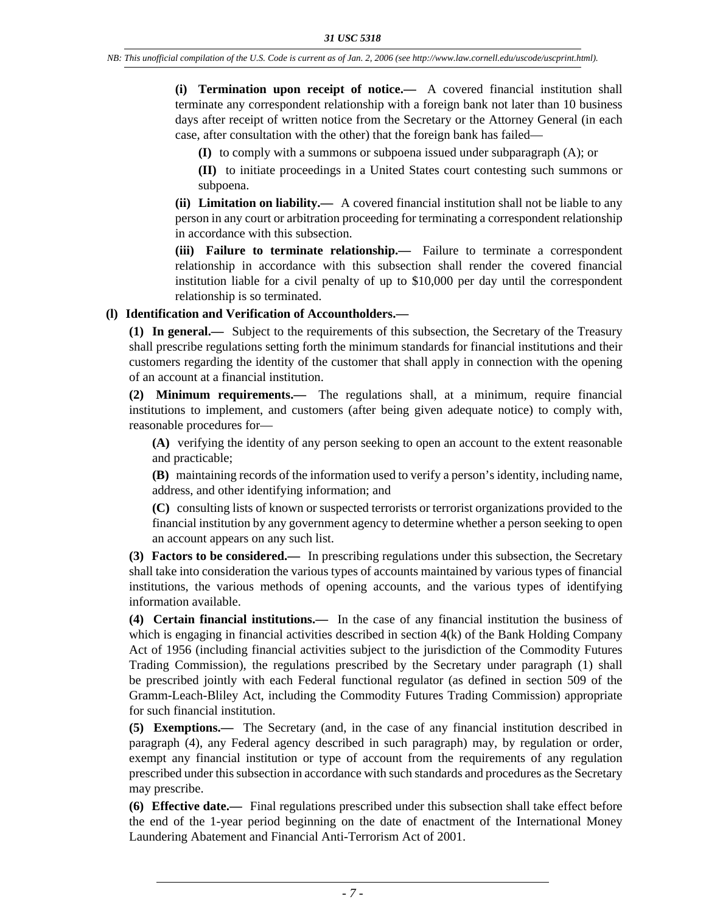**(i) Termination upon receipt of notice.—** A covered financial institution shall terminate any correspondent relationship with a foreign bank not later than 10 business days after receipt of written notice from the Secretary or the Attorney General (in each case, after consultation with the other) that the foreign bank has failed—

**(I)** to comply with a summons or subpoena issued under subparagraph (A); or

**(II)** to initiate proceedings in a United States court contesting such summons or subpoena.

**(ii) Limitation on liability.—** A covered financial institution shall not be liable to any person in any court or arbitration proceeding for terminating a correspondent relationship in accordance with this subsection.

**(iii) Failure to terminate relationship.—** Failure to terminate a correspondent relationship in accordance with this subsection shall render the covered financial institution liable for a civil penalty of up to \$10,000 per day until the correspondent relationship is so terminated.

#### **(l) Identification and Verification of Accountholders.—**

**(1) In general.—** Subject to the requirements of this subsection, the Secretary of the Treasury shall prescribe regulations setting forth the minimum standards for financial institutions and their customers regarding the identity of the customer that shall apply in connection with the opening of an account at a financial institution.

**(2) Minimum requirements.—** The regulations shall, at a minimum, require financial institutions to implement, and customers (after being given adequate notice) to comply with, reasonable procedures for—

**(A)** verifying the identity of any person seeking to open an account to the extent reasonable and practicable;

**(B)** maintaining records of the information used to verify a person's identity, including name, address, and other identifying information; and

**(C)** consulting lists of known or suspected terrorists or terrorist organizations provided to the financial institution by any government agency to determine whether a person seeking to open an account appears on any such list.

**(3) Factors to be considered.—** In prescribing regulations under this subsection, the Secretary shall take into consideration the various types of accounts maintained by various types of financial institutions, the various methods of opening accounts, and the various types of identifying information available.

**(4) Certain financial institutions.—** In the case of any financial institution the business of which is engaging in financial activities described in section  $4(k)$  of the Bank Holding Company Act of 1956 (including financial activities subject to the jurisdiction of the Commodity Futures Trading Commission), the regulations prescribed by the Secretary under paragraph (1) shall be prescribed jointly with each Federal functional regulator (as defined in section 509 of the Gramm-Leach-Bliley Act, including the Commodity Futures Trading Commission) appropriate for such financial institution.

**(5) Exemptions.—** The Secretary (and, in the case of any financial institution described in paragraph (4), any Federal agency described in such paragraph) may, by regulation or order, exempt any financial institution or type of account from the requirements of any regulation prescribed under this subsection in accordance with such standards and procedures as the Secretary may prescribe.

**(6) Effective date.—** Final regulations prescribed under this subsection shall take effect before the end of the 1-year period beginning on the date of enactment of the International Money Laundering Abatement and Financial Anti-Terrorism Act of 2001.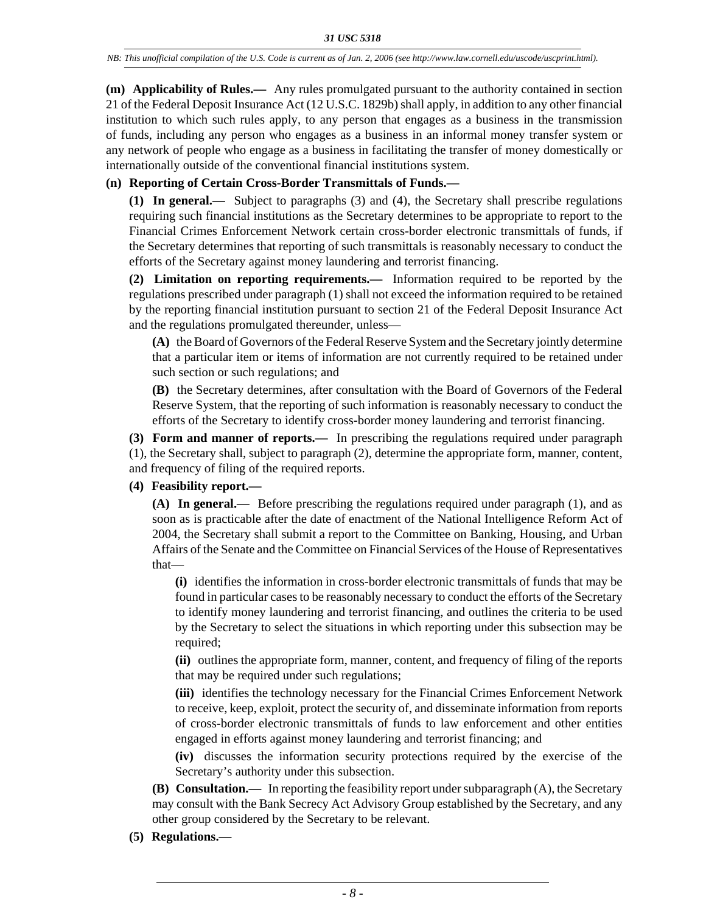**(m) Applicability of Rules.—** Any rules promulgated pursuant to the authority contained in section 21 of the Federal Deposit Insurance Act (12 U.S.C. 1829b) shall apply, in addition to any other financial institution to which such rules apply, to any person that engages as a business in the transmission of funds, including any person who engages as a business in an informal money transfer system or any network of people who engage as a business in facilitating the transfer of money domestically or internationally outside of the conventional financial institutions system.

## **(n) Reporting of Certain Cross-Border Transmittals of Funds.—**

**(1) In general.—** Subject to paragraphs (3) and (4), the Secretary shall prescribe regulations requiring such financial institutions as the Secretary determines to be appropriate to report to the Financial Crimes Enforcement Network certain cross-border electronic transmittals of funds, if the Secretary determines that reporting of such transmittals is reasonably necessary to conduct the efforts of the Secretary against money laundering and terrorist financing.

**(2) Limitation on reporting requirements.—** Information required to be reported by the regulations prescribed under paragraph (1) shall not exceed the information required to be retained by the reporting financial institution pursuant to section 21 of the Federal Deposit Insurance Act and the regulations promulgated thereunder, unless—

**(A)** the Board of Governors of the Federal Reserve System and the Secretary jointly determine that a particular item or items of information are not currently required to be retained under such section or such regulations; and

**(B)** the Secretary determines, after consultation with the Board of Governors of the Federal Reserve System, that the reporting of such information is reasonably necessary to conduct the efforts of the Secretary to identify cross-border money laundering and terrorist financing.

**(3) Form and manner of reports.—** In prescribing the regulations required under paragraph (1), the Secretary shall, subject to paragraph (2), determine the appropriate form, manner, content, and frequency of filing of the required reports.

**(4) Feasibility report.—**

**(A) In general.—** Before prescribing the regulations required under paragraph (1), and as soon as is practicable after the date of enactment of the National Intelligence Reform Act of 2004, the Secretary shall submit a report to the Committee on Banking, Housing, and Urban Affairs of the Senate and the Committee on Financial Services of the House of Representatives that—

**(i)** identifies the information in cross-border electronic transmittals of funds that may be found in particular cases to be reasonably necessary to conduct the efforts of the Secretary to identify money laundering and terrorist financing, and outlines the criteria to be used by the Secretary to select the situations in which reporting under this subsection may be required;

**(ii)** outlines the appropriate form, manner, content, and frequency of filing of the reports that may be required under such regulations;

**(iii)** identifies the technology necessary for the Financial Crimes Enforcement Network to receive, keep, exploit, protect the security of, and disseminate information from reports of cross-border electronic transmittals of funds to law enforcement and other entities engaged in efforts against money laundering and terrorist financing; and

**(iv)** discusses the information security protections required by the exercise of the Secretary's authority under this subsection.

**(B) Consultation.—** In reporting the feasibility report under subparagraph (A), the Secretary may consult with the Bank Secrecy Act Advisory Group established by the Secretary, and any other group considered by the Secretary to be relevant.

**(5) Regulations.—**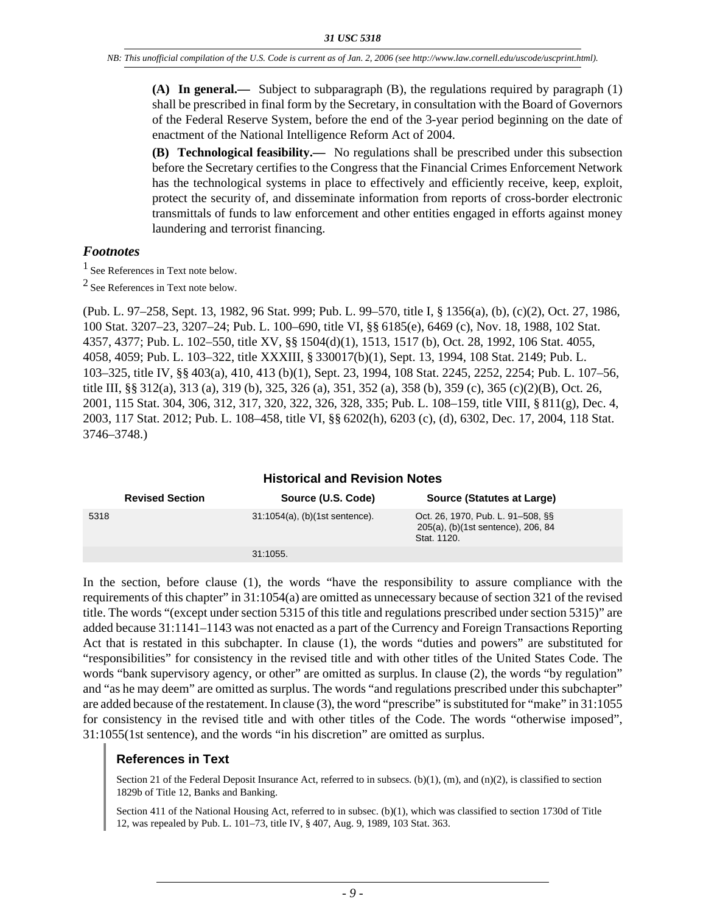**(A) In general.—** Subject to subparagraph (B), the regulations required by paragraph (1) shall be prescribed in final form by the Secretary, in consultation with the Board of Governors of the Federal Reserve System, before the end of the 3-year period beginning on the date of enactment of the National Intelligence Reform Act of 2004.

**(B) Technological feasibility.—** No regulations shall be prescribed under this subsection before the Secretary certifies to the Congress that the Financial Crimes Enforcement Network has the technological systems in place to effectively and efficiently receive, keep, exploit, protect the security of, and disseminate information from reports of cross-border electronic transmittals of funds to law enforcement and other entities engaged in efforts against money laundering and terrorist financing.

## *Footnotes*

1 See References in Text note below.

<sup>2</sup> See References in Text note below.

(Pub. L. 97–258, Sept. 13, 1982, 96 Stat. 999; Pub. L. 99–570, title I, § 1356(a), (b), (c)(2), Oct. 27, 1986, 100 Stat. 3207–23, 3207–24; Pub. L. 100–690, title VI, §§ 6185(e), 6469 (c), Nov. 18, 1988, 102 Stat. 4357, 4377; Pub. L. 102–550, title XV, §§ 1504(d)(1), 1513, 1517 (b), Oct. 28, 1992, 106 Stat. 4055, 4058, 4059; Pub. L. 103–322, title XXXIII, § 330017(b)(1), Sept. 13, 1994, 108 Stat. 2149; Pub. L. 103–325, title IV, §§ 403(a), 410, 413 (b)(1), Sept. 23, 1994, 108 Stat. 2245, 2252, 2254; Pub. L. 107–56, title III, §§ 312(a), 313 (a), 319 (b), 325, 326 (a), 351, 352 (a), 358 (b), 359 (c), 365 (c)(2)(B), Oct. 26, 2001, 115 Stat. 304, 306, 312, 317, 320, 322, 326, 328, 335; Pub. L. 108–159, title VIII, § 811(g), Dec. 4, 2003, 117 Stat. 2012; Pub. L. 108–458, title VI, §§ 6202(h), 6203 (c), (d), 6302, Dec. 17, 2004, 118 Stat. 3746–3748.)

#### **Historical and Revision Notes**

|      | <b>Revised Section</b> | Source (U.S. Code)             | Source (Statutes at Large)                                                             |
|------|------------------------|--------------------------------|----------------------------------------------------------------------------------------|
| 5318 |                        | 31:1054(a), (b)(1st sentence). | Oct. 26, 1970, Pub. L. 91-508, §§<br>205(a), (b)(1st sentence), 206, 84<br>Stat. 1120. |
|      |                        | 31:1055.                       |                                                                                        |

In the section, before clause (1), the words "have the responsibility to assure compliance with the requirements of this chapter" in 31:1054(a) are omitted as unnecessary because of section 321 of the revised title. The words "(except under section 5315 of this title and regulations prescribed under section 5315)" are added because 31:1141–1143 was not enacted as a part of the Currency and Foreign Transactions Reporting Act that is restated in this subchapter. In clause (1), the words "duties and powers" are substituted for "responsibilities" for consistency in the revised title and with other titles of the United States Code. The words "bank supervisory agency, or other" are omitted as surplus. In clause (2), the words "by regulation" and "as he may deem" are omitted as surplus. The words "and regulations prescribed under this subchapter" are added because of the restatement. In clause (3), the word "prescribe" is substituted for "make" in 31:1055 for consistency in the revised title and with other titles of the Code. The words "otherwise imposed", 31:1055(1st sentence), and the words "in his discretion" are omitted as surplus.

## **References in Text**

Section 21 of the Federal Deposit Insurance Act, referred to in subsecs. (b)(1), (m), and (n)(2), is classified to section 1829b of Title 12, Banks and Banking.

Section 411 of the National Housing Act, referred to in subsec. (b)(1), which was classified to section 1730d of Title 12, was repealed by Pub. L. 101–73, title IV, § 407, Aug. 9, 1989, 103 Stat. 363.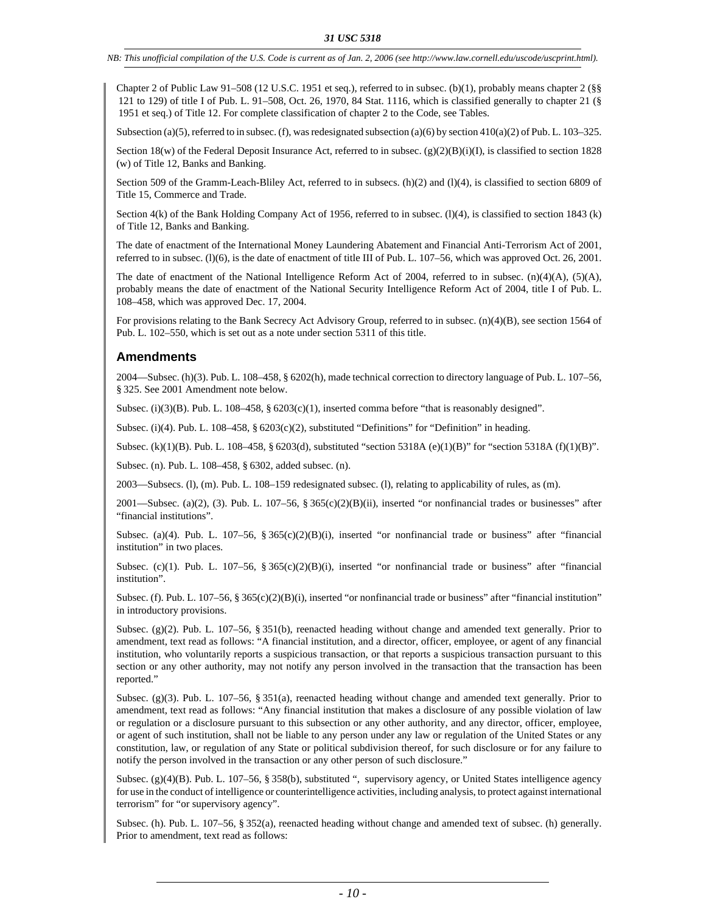Chapter 2 of Public Law 91–508 (12 U.S.C. 1951 et seq.), referred to in subsec. (b)(1), probably means chapter 2 (§§ 121 to 129) of title I of Pub. L. 91–508, Oct. 26, 1970, 84 Stat. 1116, which is classified generally to chapter 21 (§ 1951 et seq.) of Title 12. For complete classification of chapter 2 to the Code, see Tables.

Subsection (a)(5), referred to in subsec. (f), was redesignated subsection (a)(6) by section  $410(a)(2)$  of Pub. L. 103–325.

Section 18(w) of the Federal Deposit Insurance Act, referred to in subsec.  $(g)(2)(B)(i)(I)$ , is classified to section 1828 (w) of Title 12, Banks and Banking.

Section 509 of the Gramm-Leach-Bliley Act, referred to in subsecs. (h)(2) and (l)(4), is classified to section 6809 of Title 15, Commerce and Trade.

Section  $4(k)$  of the Bank Holding Company Act of 1956, referred to in subsec. (1)(4), is classified to section 1843 (k) of Title 12, Banks and Banking.

The date of enactment of the International Money Laundering Abatement and Financial Anti-Terrorism Act of 2001, referred to in subsec. (l)(6), is the date of enactment of title III of Pub. L. 107–56, which was approved Oct. 26, 2001.

The date of enactment of the National Intelligence Reform Act of 2004, referred to in subsec.  $(n)(4)(A)$ ,  $(5)(A)$ , probably means the date of enactment of the National Security Intelligence Reform Act of 2004, title I of Pub. L. 108–458, which was approved Dec. 17, 2004.

For provisions relating to the Bank Secrecy Act Advisory Group, referred to in subsec. (n)(4)(B), see section 1564 of Pub. L. 102–550, which is set out as a note under section 5311 of this title.

#### **Amendments**

2004—Subsec. (h)(3). Pub. L. 108–458, § 6202(h), made technical correction to directory language of Pub. L. 107–56, § 325. See 2001 Amendment note below.

Subsec. (i)(3)(B). Pub. L. 108–458, §  $6203(c)(1)$ , inserted comma before "that is reasonably designed".

Subsec. (i)(4). Pub. L.  $108-458$ , §  $6203(c)(2)$ , substituted "Definitions" for "Definition" in heading.

Subsec. (k)(1)(B). Pub. L. 108–458, § 6203(d), substituted "section 5318A (e)(1)(B)" for "section 5318A (f)(1)(B)".

Subsec. (n). Pub. L. 108–458, § 6302, added subsec. (n).

2003—Subsecs. (l), (m). Pub. L. 108–159 redesignated subsec. (l), relating to applicability of rules, as (m).

2001—Subsec. (a)(2), (3). Pub. L. 107–56, § 365(c)(2)(B)(ii), inserted "or nonfinancial trades or businesses" after "financial institutions".

Subsec. (a)(4). Pub. L. 107–56, § 365(c)(2)(B)(i), inserted "or nonfinancial trade or business" after "financial institution" in two places.

Subsec. (c)(1). Pub. L. 107–56, § 365(c)(2)(B)(i), inserted "or nonfinancial trade or business" after "financial institution".

Subsec. (f). Pub. L. 107–56,  $\S 365(c)(2)(B)(i)$ , inserted "or nonfinancial trade or business" after "financial institution" in introductory provisions.

Subsec. (g)(2). Pub. L. 107–56, § 351(b), reenacted heading without change and amended text generally. Prior to amendment, text read as follows: "A financial institution, and a director, officer, employee, or agent of any financial institution, who voluntarily reports a suspicious transaction, or that reports a suspicious transaction pursuant to this section or any other authority, may not notify any person involved in the transaction that the transaction has been reported."

Subsec. (g)(3). Pub. L. 107–56, § 351(a), reenacted heading without change and amended text generally. Prior to amendment, text read as follows: "Any financial institution that makes a disclosure of any possible violation of law or regulation or a disclosure pursuant to this subsection or any other authority, and any director, officer, employee, or agent of such institution, shall not be liable to any person under any law or regulation of the United States or any constitution, law, or regulation of any State or political subdivision thereof, for such disclosure or for any failure to notify the person involved in the transaction or any other person of such disclosure."

Subsec. (g)(4)(B). Pub. L. 107-56, § 358(b), substituted ", supervisory agency, or United States intelligence agency for use in the conduct of intelligence or counterintelligence activities, including analysis, to protect against international terrorism" for "or supervisory agency".

Subsec. (h). Pub. L. 107–56, § 352(a), reenacted heading without change and amended text of subsec. (h) generally. Prior to amendment, text read as follows: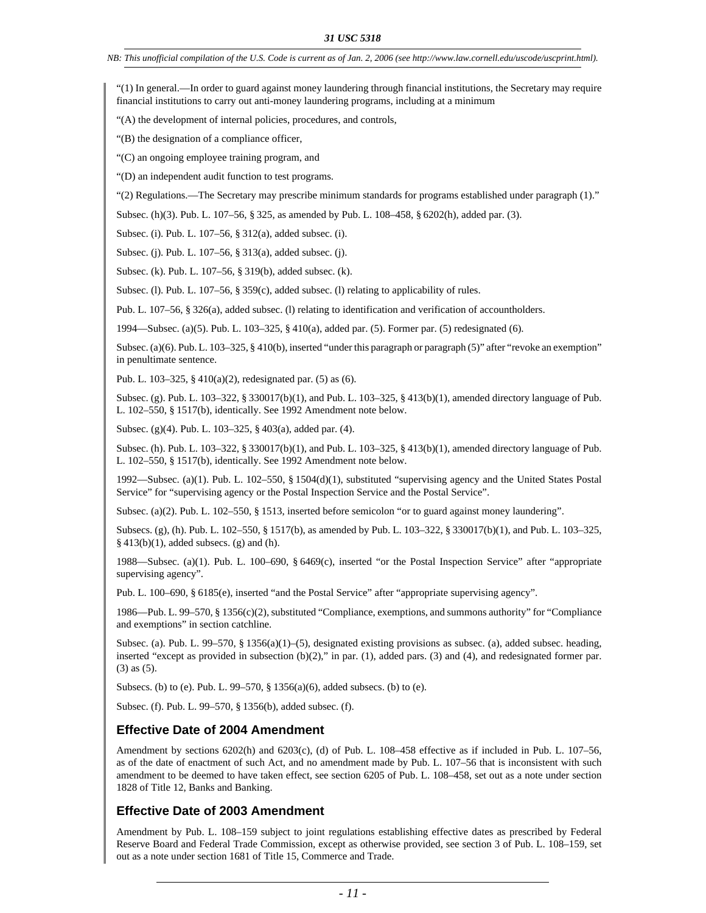#### *31 USC 5318*

#### *NB: This unofficial compilation of the U.S. Code is current as of Jan. 2, 2006 (see http://www.law.cornell.edu/uscode/uscprint.html).*

"(1) In general.—In order to guard against money laundering through financial institutions, the Secretary may require financial institutions to carry out anti-money laundering programs, including at a minimum

"(A) the development of internal policies, procedures, and controls,

"(B) the designation of a compliance officer,

"(C) an ongoing employee training program, and

"(D) an independent audit function to test programs.

"(2) Regulations.—The Secretary may prescribe minimum standards for programs established under paragraph (1)."

Subsec. (h)(3). Pub. L. 107–56, § 325, as amended by Pub. L. 108–458, § 6202(h), added par. (3).

Subsec. (i). Pub. L. 107–56, § 312(a), added subsec. (i).

Subsec. (j). Pub. L. 107–56, § 313(a), added subsec. (j).

Subsec. (k). Pub. L. 107–56, § 319(b), added subsec. (k).

Subsec. (1). Pub. L. 107–56, § 359(c), added subsec. (1) relating to applicability of rules.

Pub. L. 107–56, § 326(a), added subsec. (l) relating to identification and verification of accountholders.

1994—Subsec. (a)(5). Pub. L. 103–325, § 410(a), added par. (5). Former par. (5) redesignated (6).

Subsec. (a)(6). Pub. L. 103–325, § 410(b), inserted "under this paragraph or paragraph (5)" after "revoke an exemption" in penultimate sentence.

Pub. L. 103–325, § 410(a)(2), redesignated par. (5) as (6).

Subsec. (g). Pub. L. 103–322, § 330017(b)(1), and Pub. L. 103–325, § 413(b)(1), amended directory language of Pub. L. 102–550, § 1517(b), identically. See 1992 Amendment note below.

Subsec. (g)(4). Pub. L. 103–325, § 403(a), added par. (4).

Subsec. (h). Pub. L. 103–322, § 330017(b)(1), and Pub. L. 103–325, § 413(b)(1), amended directory language of Pub. L. 102–550, § 1517(b), identically. See 1992 Amendment note below.

1992—Subsec. (a)(1). Pub. L. 102–550, § 1504(d)(1), substituted "supervising agency and the United States Postal Service" for "supervising agency or the Postal Inspection Service and the Postal Service".

Subsec. (a)(2). Pub. L. 102–550, § 1513, inserted before semicolon "or to guard against money laundering".

Subsecs. (g), (h). Pub. L. 102–550, § 1517(b), as amended by Pub. L. 103–322, § 330017(b)(1), and Pub. L. 103–325,  $§$  413(b)(1), added subsecs. (g) and (h).

1988—Subsec. (a)(1). Pub. L. 100–690, § 6469(c), inserted "or the Postal Inspection Service" after "appropriate supervising agency".

Pub. L. 100–690, § 6185(e), inserted "and the Postal Service" after "appropriate supervising agency".

1986—Pub. L. 99–570, § 1356(c)(2), substituted "Compliance, exemptions, and summons authority" for "Compliance and exemptions" in section catchline.

Subsec. (a). Pub. L. 99–570, § 1356(a)(1)–(5), designated existing provisions as subsec. (a), added subsec. heading, inserted "except as provided in subsection (b)(2)," in par. (1), added pars. (3) and (4), and redesignated former par. (3) as (5).

Subsecs. (b) to (e). Pub. L. 99–570, § 1356(a)(6), added subsecs. (b) to (e).

Subsec. (f). Pub. L. 99–570, § 1356(b), added subsec. (f).

#### **Effective Date of 2004 Amendment**

Amendment by sections 6202(h) and 6203(c), (d) of Pub. L. 108–458 effective as if included in Pub. L. 107–56, as of the date of enactment of such Act, and no amendment made by Pub. L. 107–56 that is inconsistent with such amendment to be deemed to have taken effect, see section 6205 of Pub. L. 108–458, set out as a note under section 1828 of Title 12, Banks and Banking.

#### **Effective Date of 2003 Amendment**

Amendment by Pub. L. 108–159 subject to joint regulations establishing effective dates as prescribed by Federal Reserve Board and Federal Trade Commission, except as otherwise provided, see section 3 of Pub. L. 108–159, set out as a note under section 1681 of Title 15, Commerce and Trade.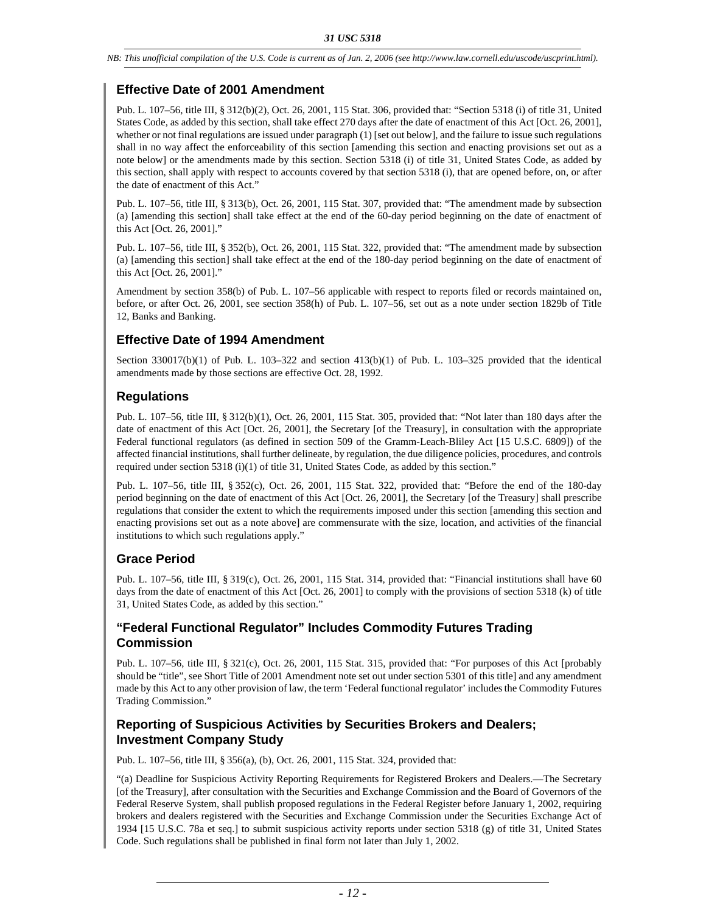# **Effective Date of 2001 Amendment**

Pub. L. 107–56, title III, § 312(b)(2), Oct. 26, 2001, 115 Stat. 306, provided that: "Section 5318 (i) of title 31, United States Code, as added by this section, shall take effect 270 days after the date of enactment of this Act [Oct. 26, 2001], whether or not final regulations are issued under paragraph (1) [set out below], and the failure to issue such regulations shall in no way affect the enforceability of this section [amending this section and enacting provisions set out as a note below] or the amendments made by this section. Section 5318 (i) of title 31, United States Code, as added by this section, shall apply with respect to accounts covered by that section 5318 (i), that are opened before, on, or after the date of enactment of this Act."

Pub. L. 107–56, title III, § 313(b), Oct. 26, 2001, 115 Stat. 307, provided that: "The amendment made by subsection (a) [amending this section] shall take effect at the end of the 60-day period beginning on the date of enactment of this Act [Oct. 26, 2001]."

Pub. L. 107–56, title III, § 352(b), Oct. 26, 2001, 115 Stat. 322, provided that: "The amendment made by subsection (a) [amending this section] shall take effect at the end of the 180-day period beginning on the date of enactment of this Act [Oct. 26, 2001]."

Amendment by section 358(b) of Pub. L. 107–56 applicable with respect to reports filed or records maintained on, before, or after Oct. 26, 2001, see section 358(h) of Pub. L. 107–56, set out as a note under section 1829b of Title 12, Banks and Banking.

# **Effective Date of 1994 Amendment**

Section 330017(b)(1) of Pub. L. 103–322 and section 413(b)(1) of Pub. L. 103–325 provided that the identical amendments made by those sections are effective Oct. 28, 1992.

## **Regulations**

Pub. L. 107–56, title III, § 312(b)(1), Oct. 26, 2001, 115 Stat. 305, provided that: "Not later than 180 days after the date of enactment of this Act [Oct. 26, 2001], the Secretary [of the Treasury], in consultation with the appropriate Federal functional regulators (as defined in section 509 of the Gramm-Leach-Bliley Act [15 U.S.C. 6809]) of the affected financial institutions, shall further delineate, by regulation, the due diligence policies, procedures, and controls required under section 5318 (i)(1) of title 31, United States Code, as added by this section."

Pub. L. 107–56, title III, § 352(c), Oct. 26, 2001, 115 Stat. 322, provided that: "Before the end of the 180-day period beginning on the date of enactment of this Act [Oct. 26, 2001], the Secretary [of the Treasury] shall prescribe regulations that consider the extent to which the requirements imposed under this section [amending this section and enacting provisions set out as a note above] are commensurate with the size, location, and activities of the financial institutions to which such regulations apply."

# **Grace Period**

Pub. L. 107–56, title III, § 319(c), Oct. 26, 2001, 115 Stat. 314, provided that: "Financial institutions shall have 60 days from the date of enactment of this Act [Oct. 26, 2001] to comply with the provisions of section 5318 (k) of title 31, United States Code, as added by this section."

# **"Federal Functional Regulator" Includes Commodity Futures Trading Commission**

Pub. L. 107–56, title III, § 321(c), Oct. 26, 2001, 115 Stat. 315, provided that: "For purposes of this Act [probably should be "title", see Short Title of 2001 Amendment note set out under section 5301 of this title] and any amendment made by this Act to any other provision of law, the term 'Federal functional regulator' includes the Commodity Futures Trading Commission."

#### **Reporting of Suspicious Activities by Securities Brokers and Dealers; Investment Company Study**

Pub. L. 107–56, title III, § 356(a), (b), Oct. 26, 2001, 115 Stat. 324, provided that:

"(a) Deadline for Suspicious Activity Reporting Requirements for Registered Brokers and Dealers.—The Secretary [of the Treasury], after consultation with the Securities and Exchange Commission and the Board of Governors of the Federal Reserve System, shall publish proposed regulations in the Federal Register before January 1, 2002, requiring brokers and dealers registered with the Securities and Exchange Commission under the Securities Exchange Act of 1934 [15 U.S.C. 78a et seq.] to submit suspicious activity reports under section 5318 (g) of title 31, United States Code. Such regulations shall be published in final form not later than July 1, 2002.